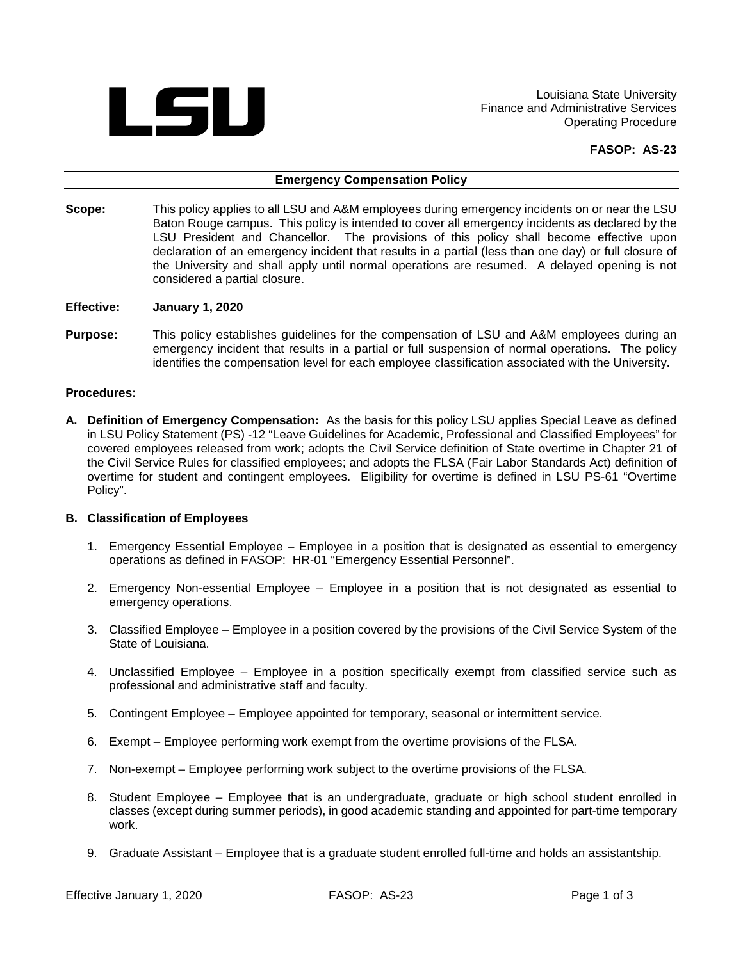

Louisiana State University Finance and Administrative Services Operating Procedure

 **FASOP: AS-23** 

#### **Emergency Compensation Policy**

- Scope: Baton Rouge campus. This policy is intended to cover all emergency incidents as declared by the LSU President and Chancellor. The provisions of this policy shall become effective upon This policy applies to all LSU and A&M employees during emergency incidents on or near the LSU declaration of an emergency incident that results in a partial (less than one day) or full closure of the University and shall apply until normal operations are resumed. A delayed opening is not considered a partial closure.
- **January 1, 2020**
- **Effective: January 1, 2020**<br>**Purpose:** This policy establishes guidelines for the compensation of LSU and A&M employees during an emergency incident that results in a partial or full suspension of normal operations. The policy identifies the compensation level for each employee classification associated with the University.

#### **Procedures:**

 covered employees released from work; adopts the Civil Service definition of State overtime in Chapter 21 of overtime for student and contingent employees. Eligibility for overtime is defined in LSU PS-61 "Overtime **A. Definition of Emergency Compensation:** As the basis for this policy LSU applies Special Leave as defined in LSU Policy Statement (PS) -12 "Leave Guidelines for Academic, Professional and Classified Employees" for the Civil Service Rules for classified employees; and adopts the FLSA (Fair Labor Standards Act) definition of Policy".

## **B. Classification of Employees**

- 1. Emergency Essential Employee Employee in a position that is designated as essential to emergency operations as defined in FASOP: HR-01 "Emergency Essential Personnel".
- 2. Emergency Non-essential Employee Employee in a position that is not designated as essential to emergency operations.
- 3. Classified Employee Employee in a position covered by the provisions of the Civil Service System of the State of Louisiana.
- 4. Unclassified Employee Employee in a position specifically exempt from classified service such as professional and administrative staff and faculty.
- 5. Contingent Employee Employee appointed for temporary, seasonal or intermittent service.
- 6. Exempt Employee performing work exempt from the overtime provisions of the FLSA.
- 7. Non-exempt Employee performing work subject to the overtime provisions of the FLSA.
- 8. Student Employee Employee that is an undergraduate, graduate or high school student enrolled in classes (except during summer periods), in good academic standing and appointed for part-time temporary work.
- 9. Graduate Assistant Employee that is a graduate student enrolled full-time and holds an assistantship.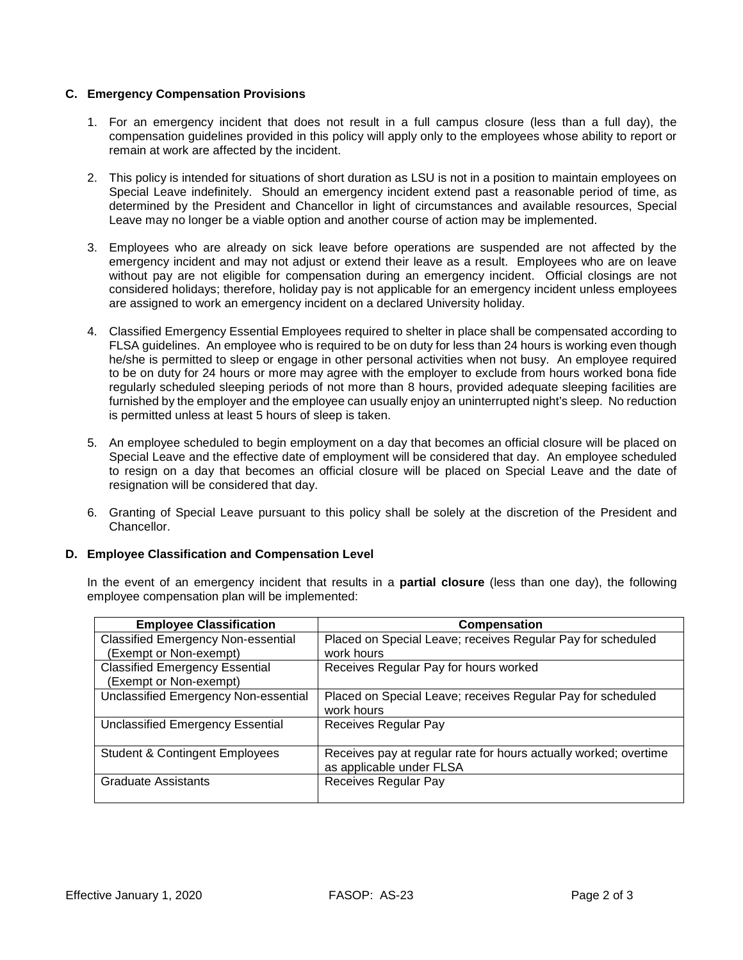# **C. Emergency Compensation Provisions**

- compensation guidelines provided in this policy will apply only to the employees whose ability to report or 1. For an emergency incident that does not result in a full campus closure (less than a full day), the remain at work are affected by the incident.
- 2. This policy is intended for situations of short duration as LSU is not in a position to maintain employees on Special Leave indefinitely. Should an emergency incident extend past a reasonable period of time, as Leave may no longer be a viable option and another course of action may be implemented. determined by the President and Chancellor in light of circumstances and available resources, Special
- emergency incident and may not adjust or extend their leave as a result. Employees who are on leave without pay are not eligible for compensation during an emergency incident. Official closings are not 3. Employees who are already on sick leave before operations are suspended are not affected by the considered holidays; therefore, holiday pay is not applicable for an emergency incident unless employees are assigned to work an emergency incident on a declared University holiday.
- FLSA guidelines. An employee who is required to be on duty for less than 24 hours is working even though he/she is permitted to sleep or engage in other personal activities when not busy. An employee required regularly scheduled sleeping periods of not more than 8 hours, provided adequate sleeping facilities are is permitted unless at least 5 hours of sleep is taken. 4. Classified Emergency Essential Employees required to shelter in place shall be compensated according to to be on duty for 24 hours or more may agree with the employer to exclude from hours worked bona fide furnished by the employer and the employee can usually enjoy an uninterrupted night's sleep. No reduction
- Special Leave and the effective date of employment will be considered that day. An employee scheduled 5. An employee scheduled to begin employment on a day that becomes an official closure will be placed on to resign on a day that becomes an official closure will be placed on Special Leave and the date of resignation will be considered that day.
- 6. Granting of Special Leave pursuant to this policy shall be solely at the discretion of the President and Chancellor.

## **D. Employee Classification and Compensation Level**

 In the event of an emergency incident that results in a **partial closure** (less than one day), the following employee compensation plan will be implemented:

| <b>Employee Classification</b>            | Compensation                                                     |
|-------------------------------------------|------------------------------------------------------------------|
| <b>Classified Emergency Non-essential</b> | Placed on Special Leave; receives Regular Pay for scheduled      |
| (Exempt or Non-exempt)                    | work hours                                                       |
| <b>Classified Emergency Essential</b>     | Receives Regular Pay for hours worked                            |
| (Exempt or Non-exempt)                    |                                                                  |
| Unclassified Emergency Non-essential      | Placed on Special Leave; receives Regular Pay for scheduled      |
|                                           | work hours                                                       |
| Unclassified Emergency Essential          | Receives Regular Pay                                             |
|                                           |                                                                  |
| <b>Student &amp; Contingent Employees</b> | Receives pay at regular rate for hours actually worked; overtime |
|                                           | as applicable under FLSA                                         |
| <b>Graduate Assistants</b>                | Receives Regular Pay                                             |
|                                           |                                                                  |